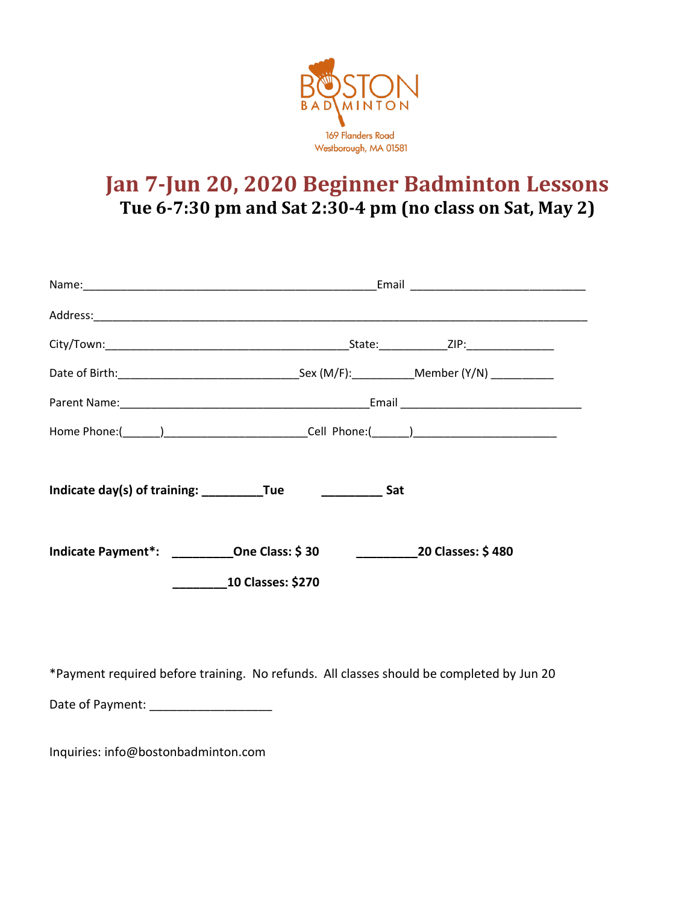

## **Jan 7-Jun 20, 2020 Beginner Badminton Lessons Tue 6-7:30 pm and Sat 2:30-4 pm (no class on Sat, May 2)**

| Indicate Payment*: ___________One Class: \$30                                            |  | <b>20 Classes: \$480</b> |  |  |
|------------------------------------------------------------------------------------------|--|--------------------------|--|--|
| <b>10 Classes: \$270</b>                                                                 |  |                          |  |  |
|                                                                                          |  |                          |  |  |
| *Payment required before training. No refunds. All classes should be completed by Jun 20 |  |                          |  |  |
| Date of Payment:                                                                         |  |                          |  |  |

Inquiries: info@bostonbadminton.com